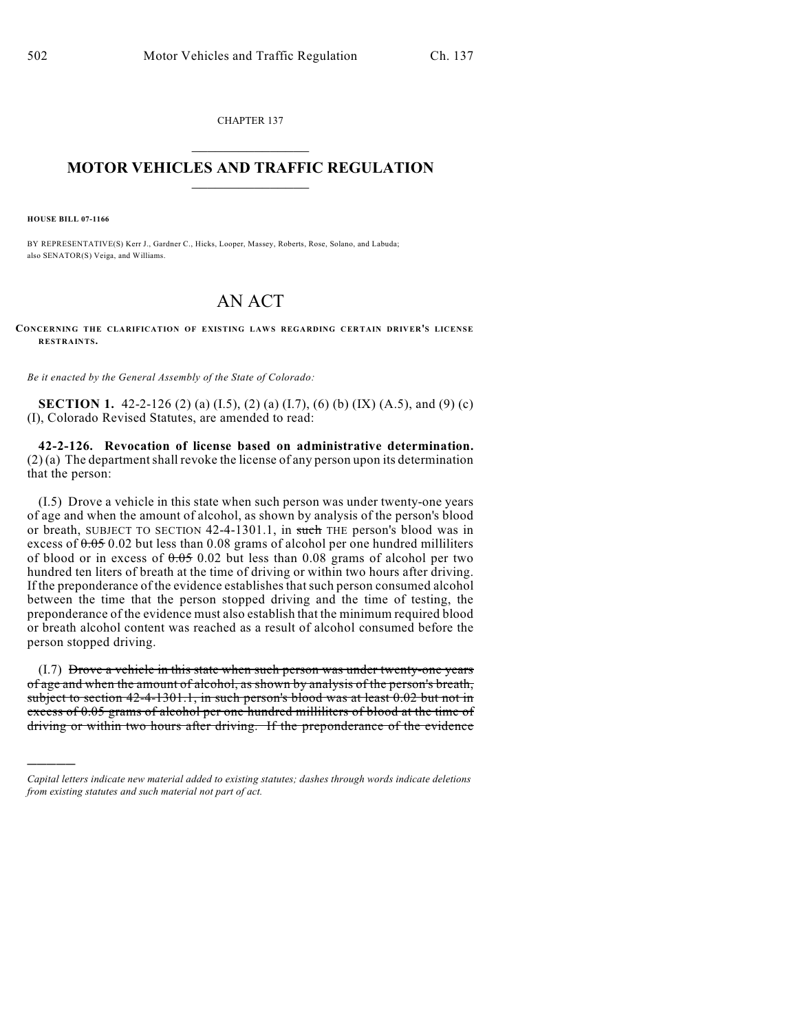CHAPTER 137

## $\mathcal{L}_\text{max}$  . The set of the set of the set of the set of the set of the set of the set of the set of the set of the set of the set of the set of the set of the set of the set of the set of the set of the set of the set **MOTOR VEHICLES AND TRAFFIC REGULATION**  $\frac{1}{2}$  ,  $\frac{1}{2}$  ,  $\frac{1}{2}$  ,  $\frac{1}{2}$  ,  $\frac{1}{2}$  ,  $\frac{1}{2}$  ,  $\frac{1}{2}$  ,  $\frac{1}{2}$

**HOUSE BILL 07-1166**

)))))

BY REPRESENTATIVE(S) Kerr J., Gardner C., Hicks, Looper, Massey, Roberts, Rose, Solano, and Labuda; also SENATOR(S) Veiga, and Williams.

# AN ACT

**CONCERNING THE CLARIFICATION OF EXISTING LAWS REGARDING CERTAIN DRIVER'S LICENSE RESTRAINTS.**

*Be it enacted by the General Assembly of the State of Colorado:*

**SECTION 1.** 42-2-126 (2) (a) (I.5), (2) (a) (I.7), (6) (b) (IX) (A.5), and (9) (c) (I), Colorado Revised Statutes, are amended to read:

**42-2-126. Revocation of license based on administrative determination.** (2) (a) The department shall revoke the license of any person upon its determination that the person:

(I.5) Drove a vehicle in this state when such person was under twenty-one years of age and when the amount of alcohol, as shown by analysis of the person's blood or breath, SUBJECT TO SECTION 42-4-1301.1, in such THE person's blood was in excess of  $0.05$  0.02 but less than 0.08 grams of alcohol per one hundred milliliters of blood or in excess of  $0.05$  0.02 but less than 0.08 grams of alcohol per two hundred ten liters of breath at the time of driving or within two hours after driving. If the preponderance of the evidence establishes that such person consumed alcohol between the time that the person stopped driving and the time of testing, the preponderance of the evidence must also establish that the minimum required blood or breath alcohol content was reached as a result of alcohol consumed before the person stopped driving.

(I.7) Drove a vehicle in this state when such person was under twenty-one years of age and when the amount of alcohol, as shown by analysis of the person's breath, subject to section 42-4-1301.1, in such person's blood was at least 0.02 but not in excess of 0.05 grams of alcohol per one hundred milliliters of blood at the time of driving or within two hours after driving. If the preponderance of the evidence

*Capital letters indicate new material added to existing statutes; dashes through words indicate deletions from existing statutes and such material not part of act.*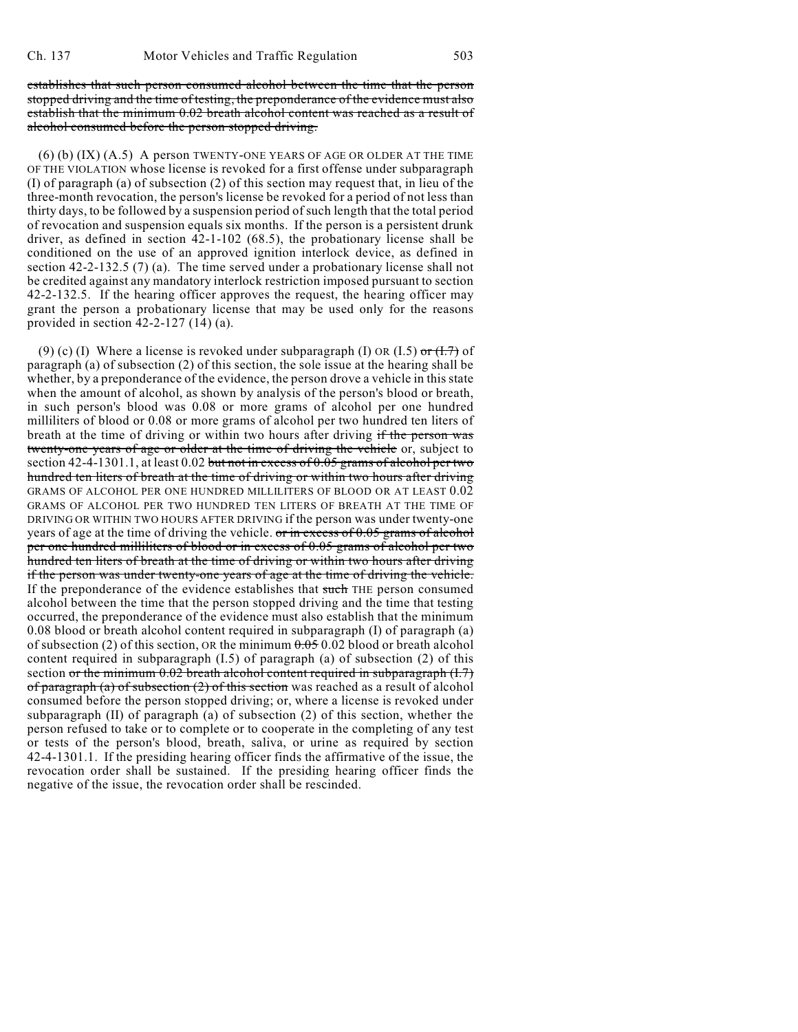establishes that such person consumed alcohol between the time that the person stopped driving and the time of testing, the preponderance of the evidence must also establish that the minimum 0.02 breath alcohol content was reached as a result of alcohol consumed before the person stopped driving.

(6) (b) (IX) (A.5) A person TWENTY-ONE YEARS OF AGE OR OLDER AT THE TIME OF THE VIOLATION whose license is revoked for a first offense under subparagraph (I) of paragraph (a) of subsection (2) of this section may request that, in lieu of the three-month revocation, the person's license be revoked for a period of not less than thirty days, to be followed by a suspension period of such length that the total period of revocation and suspension equals six months. If the person is a persistent drunk driver, as defined in section 42-1-102 (68.5), the probationary license shall be conditioned on the use of an approved ignition interlock device, as defined in section 42-2-132.5 (7) (a). The time served under a probationary license shall not be credited against any mandatory interlock restriction imposed pursuant to section 42-2-132.5. If the hearing officer approves the request, the hearing officer may grant the person a probationary license that may be used only for the reasons provided in section 42-2-127 (14) (a).

(9) (c) (I) Where a license is revoked under subparagraph (I) OR (I.5) or  $(1.7)$  of paragraph (a) of subsection (2) of this section, the sole issue at the hearing shall be whether, by a preponderance of the evidence, the person drove a vehicle in this state when the amount of alcohol, as shown by analysis of the person's blood or breath, in such person's blood was 0.08 or more grams of alcohol per one hundred milliliters of blood or 0.08 or more grams of alcohol per two hundred ten liters of breath at the time of driving or within two hours after driving if the person was twenty-one years of age or older at the time of driving the vehicle or, subject to section 42-4-1301.1, at least 0.02 but not in excess of 0.05 grams of alcohol per two hundred ten liters of breath at the time of driving or within two hours after driving GRAMS OF ALCOHOL PER ONE HUNDRED MILLILITERS OF BLOOD OR AT LEAST 0.02 GRAMS OF ALCOHOL PER TWO HUNDRED TEN LITERS OF BREATH AT THE TIME OF DRIVING OR WITHIN TWO HOURS AFTER DRIVING if the person was under twenty-one years of age at the time of driving the vehicle.  $\sigma r$  in excess of 0.05 grams of alcohol per one hundred milliliters of blood or in excess of 0.05 grams of alcohol per two hundred ten liters of breath at the time of driving or within two hours after driving if the person was under twenty-one years of age at the time of driving the vehicle. If the preponderance of the evidence establishes that such THE person consumed alcohol between the time that the person stopped driving and the time that testing occurred, the preponderance of the evidence must also establish that the minimum 0.08 blood or breath alcohol content required in subparagraph (I) of paragraph (a) of subsection (2) of this section, OR the minimum  $0.05$  0.02 blood or breath alcohol content required in subparagraph (I.5) of paragraph (a) of subsection (2) of this section or the minimum  $0.02$  breath alcohol content required in subparagraph  $(1.7)$ of paragraph (a) of subsection (2) of this section was reached as a result of alcohol consumed before the person stopped driving; or, where a license is revoked under subparagraph (II) of paragraph (a) of subsection (2) of this section, whether the person refused to take or to complete or to cooperate in the completing of any test or tests of the person's blood, breath, saliva, or urine as required by section 42-4-1301.1. If the presiding hearing officer finds the affirmative of the issue, the revocation order shall be sustained. If the presiding hearing officer finds the negative of the issue, the revocation order shall be rescinded.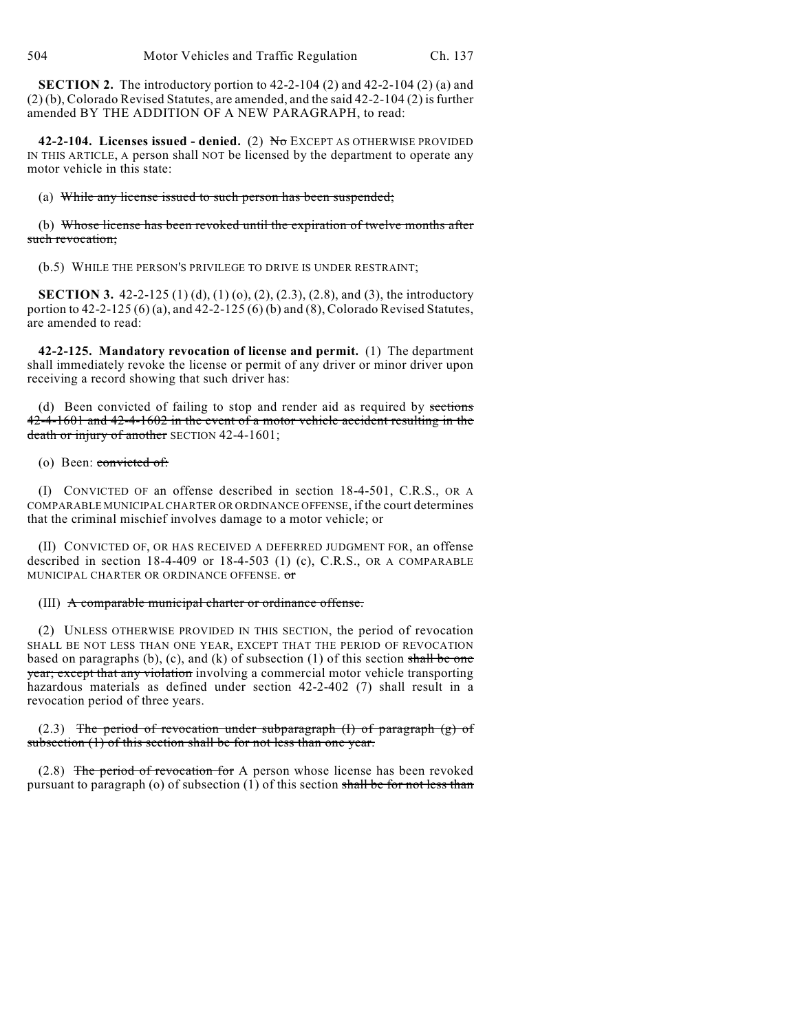**SECTION 2.** The introductory portion to 42-2-104 (2) and 42-2-104 (2) (a) and  $(2)(b)$ , Colorado Revised Statutes, are amended, and the said 42-2-104  $(2)$  is further amended BY THE ADDITION OF A NEW PARAGRAPH, to read:

42-2-104. Licenses issued - denied. (2) No EXCEPT AS OTHERWISE PROVIDED IN THIS ARTICLE, A person shall NOT be licensed by the department to operate any motor vehicle in this state:

#### (a) While any license issued to such person has been suspended;

(b) Whose license has been revoked until the expiration of twelve months after such revocation;

(b.5) WHILE THE PERSON'S PRIVILEGE TO DRIVE IS UNDER RESTRAINT;

**SECTION 3.** 42-2-125 (1) (d), (1) (o), (2), (2.3), (2.8), and (3), the introductory portion to  $42-2-125(6)(a)$ , and  $42-2-125(6)(b)$  and  $(8)$ , Colorado Revised Statutes, are amended to read:

**42-2-125. Mandatory revocation of license and permit.** (1) The department shall immediately revoke the license or permit of any driver or minor driver upon receiving a record showing that such driver has:

(d) Been convicted of failing to stop and render aid as required by sections 42-4-1601 and 42-4-1602 in the event of a motor vehicle accident resulting in the death or injury of another SECTION 42-4-1601;

#### (o) Been: convicted of:

(I) CONVICTED OF an offense described in section 18-4-501, C.R.S., OR A COMPARABLE MUNICIPAL CHARTER OR ORDINANCE OFFENSE, if the court determines that the criminal mischief involves damage to a motor vehicle; or

(II) CONVICTED OF, OR HAS RECEIVED A DEFERRED JUDGMENT FOR, an offense described in section  $18-4-409$  or  $18-4-503$  (1) (c), C.R.S., OR A COMPARABLE MUNICIPAL CHARTER OR ORDINANCE OFFENSE. or

### (III) A comparable municipal charter or ordinance offense.

(2) UNLESS OTHERWISE PROVIDED IN THIS SECTION, the period of revocation SHALL BE NOT LESS THAN ONE YEAR, EXCEPT THAT THE PERIOD OF REVOCATION based on paragraphs (b), (c), and (k) of subsection (1) of this section shall be one year; except that any violation involving a commercial motor vehicle transporting hazardous materials as defined under section 42-2-402 (7) shall result in a revocation period of three years.

 $(2.3)$  The period of revocation under subparagraph  $(I)$  of paragraph  $(g)$  of subsection (1) of this section shall be for not less than one year.

(2.8) The period of revocation for A person whose license has been revoked pursuant to paragraph (o) of subsection (1) of this section shall be for not less than